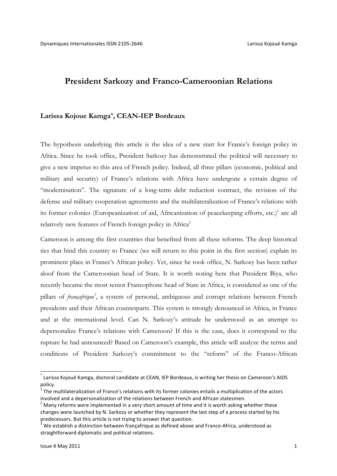# **President Sarkozy and Franco-Cameroonian Relations**

### **Larissa Kojoue Kamga\*, CEAN-IEP Bordeaux**

The hypothesis underlying this article is the idea of a new start for France's foreign policy in Africa. Since he took office, President Sarkozy has demonstrated the political will necessary to give a new impetus to this area of French policy. Indeed, all three pillars (economic, political and military and security) of France's relations with Africa have undergone a certain degree of "modernisation". The signature of a long-term debt reduction contract, the revision of the defense and military cooperation agreements and the multilateralization of France's relations with its former colonies (Europeanization of aid, Africanization of peacekeeping efforts, etc.)<sup>1</sup> are all relatively new features of French foreign policy in Africa<sup>2</sup>

Cameroon is among the first countries that benefited from all these reforms. The deep historical ties that bind this country to France (we will return to this point in the first section) explain its prominent place in France's African policy. Yet, since he took office, N. Sarkozy has been rather aloof from the Cameroonian head of State. It is worth noting here that President Biya, who recently became the most senior Francophone head of State in Africa, is considered as one of the pillars of *françafrique*<sup>3</sup>, a system of personal, ambiguous and corrupt relations between French presidents and their African counterparts. This system is strongly denounced in Africa, in France and at the international level. Can N. Sarkozy's attitude be understood as an attempt to depersonalize France's relations with Cameroon? If this is the case, does it correspond to the rupture he had announced? Based on Cameroon's example, this article will analyze the terms and conditions of President Sarkozy's commitment to the "reform" of the Franco-African

 $^*$  Larissa Kojoué Kamga, doctoral candidate at CEAN, IEP Bordeaux, is writing her thesis on Cameroon's AIDS policy.

 $<sup>1</sup>$  The multilateralization of France's relations with its former colonies entails a multiplication of the actors</sup> involved and a depersonalization of the relations between French and African statesmen.<br>
<sup>2</sup> Many reforms were implemented in a very short amount of time and it is worth asking whether these

changes were launched by N. Sarkozy or whether they represent the last step of a process started by his predecessors. But this article is not trying to answer that question.

We establish a distinction between françafrique as defined above and France-Africa, understood as straightforward diplomatic and political relations.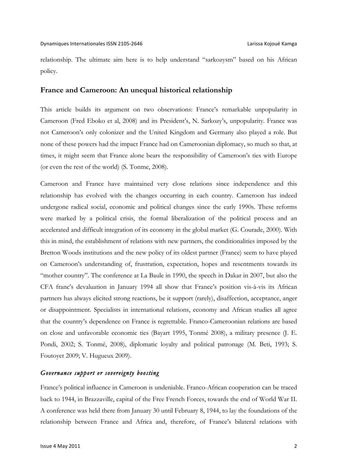relationship. The ultimate aim here is to help understand "sarkozysm" based on his African policy.

### **France and Cameroon: An unequal historical relationship**

This article builds its argument on two observations: France's remarkable unpopularity in Cameroon (Fred Eboko et al, 2008) and its President's, N. Sarkozy's, unpopularity. France was not Cameroon's only colonizer and the United Kingdom and Germany also played a role. But none of these powers had the impact France had on Cameroonian diplomacy, so much so that, at times, it might seem that France alone bears the responsibility of Cameroon's ties with Europe (or even the rest of the world) (S. Tonme, 2008).

Cameroon and France have maintained very close relations since independence and this relationship has evolved with the changes occurring in each country. Cameroon has indeed undergone radical social, economic and political changes since the early 1990s. These reforms were marked by a political crisis, the formal liberalization of the political process and an accelerated and difficult integration of its economy in the global market (G. Courade, 2000). With this in mind, the establishment of relations with new partners, the conditionalities imposed by the Bretton Woods institutions and the new policy of its oldest partner (France) seem to have played on Cameroon's understanding of, frustration, expectation, hopes and resentments towards its "mother country". The conference at La Baule in 1990, the speech in Dakar in 2007, but also the CFA franc's devaluation in January 1994 all show that France's position vis-à-vis its African partners has always elicited strong reactions, be it support (rarely), disaffection, acceptance, anger or disappointment. Specialists in international relations, economy and African studies all agree that the country's dependence on France is regrettable. Franco-Cameroonian relations are based on close and unfavorable economic ties (Bayart 1995, Tonmé 2008), a military presence (J. E. Pondi, 2002; S. Tonmé, 2008), diplomatic loyalty and political patronage (M. Beti, 1993; S. Foutoyet 2009; V. Hugueux 2009).

#### *Governance support or sovereignty boosting*

France's political influence in Cameroon is undeniable. Franco-African cooperation can be traced back to 1944, in Brazzaville, capital of the Free French Forces, towards the end of World War II. A conference was held there from January 30 until February 8, 1944, to lay the foundations of the relationship between France and Africa and, therefore, of France's bilateral relations with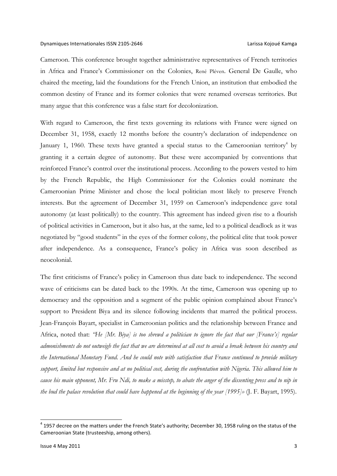Cameroon. This conference brought together administrative representatives of French territories in Africa and France's Commissioner on the Colonies, René Pléven. General De Gaulle, who chaired the meeting, laid the foundations for the French Union, an institution that embodied the common destiny of France and its former colonies that were renamed overseas territories. But many argue that this conference was a false start for decolonization.

With regard to Cameroon, the first texts governing its relations with France were signed on December 31, 1958, exactly 12 months before the country's declaration of independence on January 1, 1960. These texts have granted a special status to the Cameroonian territory<sup>4</sup> by granting it a certain degree of autonomy. But these were accompanied by conventions that reinforced France's control over the institutional process. According to the powers vested to him by the French Republic, the High Commissioner for the Colonies could nominate the Cameroonian Prime Minister and chose the local politician most likely to preserve French interests. But the agreement of December 31, 1959 on Cameroon's independence gave total autonomy (at least politically) to the country. This agreement has indeed given rise to a flourish of political activities in Cameroon, but it also has, at the same, led to a political deadlock as it was negotiated by "good students" in the eyes of the former colony, the political elite that took power after independence. As a consequence, France's policy in Africa was soon described as neocolonial.

The first criticisms of France's policy in Cameroon thus date back to independence. The second wave of criticisms can be dated back to the 1990s. At the time, Cameroon was opening up to democracy and the opposition and a segment of the public opinion complained about France's support to President Biya and its silence following incidents that marred the political process. Jean-François Bayart, specialist in Cameroonian politics and the relationship between France and Africa, noted that: *"He [Mr. Biya] is too shrewd a politician to ignore the fact that our [France's] regular admonishments do not outweigh the fact that we are determined at all cost to avoid a break between his country and the International Monetary Fund. And he could note with satisfaction that France continued to provide military support, limited but responsive and at no political cost, during the confrontation with Nigeria. This allowed him to cause his main opponent, Mr. Fru Ndi, to make a misstep, to abate the anger of the dissenting press and to nip in the bud the palace revolution that could have happened at the beginning of the year [1995]»* (J. F. Bayart, 1995).

 $4$  1957 decree on the matters under the French State's authority; December 30, 1958 ruling on the status of the Cameroonian State (trusteeship, among others).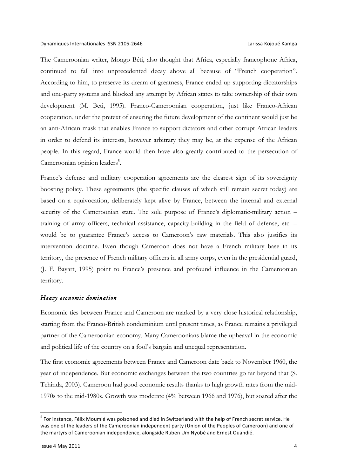The Cameroonian writer, Mongo Béti, also thought that Africa, especially francophone Africa, continued to fall into unprecedented decay above all because of "French cooperation". According to him, to preserve its dream of greatness, France ended up supporting dictatorships and one-party systems and blocked any attempt by African states to take ownership of their own development (M. Beti, 1995). Franco-Cameroonian cooperation, just like Franco-African cooperation, under the pretext of ensuring the future development of the continent would just be an anti-African mask that enables France to support dictators and other corrupt African leaders in order to defend its interests, however arbitrary they may be, at the expense of the African people. In this regard, France would then have also greatly contributed to the persecution of Cameroonian opinion leaders<sup>5</sup>.

France's defense and military cooperation agreements are the clearest sign of its sovereignty boosting policy. These agreements (the specific clauses of which still remain secret today) are based on a equivocation, deliberately kept alive by France, between the internal and external security of the Cameroonian state. The sole purpose of France's diplomatic-military action – training of army officers, technical assistance, capacity-building in the field of defense, etc. – would be to guarantee France's access to Cameroon's raw materials. This also justifies its intervention doctrine. Even though Cameroon does not have a French military base in its territory, the presence of French military officers in all army corps, even in the presidential guard, (J. F. Bayart, 1995) point to France's presence and profound influence in the Cameroonian territory.

### *Heavy economic domination*

Economic ties between France and Cameroon are marked by a very close historical relationship, starting from the Franco-British condominium until present times, as France remains a privileged partner of the Cameroonian economy. Many Cameroonians blame the upheaval in the economic and political life of the country on a fool's bargain and unequal representation.

The first economic agreements between France and Cameroon date back to November 1960, the year of independence. But economic exchanges between the two countries go far beyond that (S. Tchinda, 2003). Cameroon had good economic results thanks to high growth rates from the mid-1970s to the mid-1980s. Growth was moderate (4% between 1966 and 1976), but soared after the

 $<sup>5</sup>$  For instance, Félix Moumié was poisoned and died in Switzerland with the help of French secret service. He</sup> was one of the leaders of the Cameroonian independent party (Union of the Peoples of Cameroon) and one of the martyrs of Cameroonian independence, alongside Ruben Um Nyobé and Ernest Ouandié.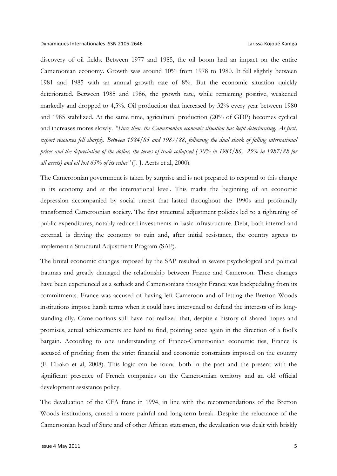discovery of oil fields. Between 1977 and 1985, the oil boom had an impact on the entire Cameroonian economy. Growth was around 10% from 1978 to 1980. It fell slightly between 1981 and 1985 with an annual growth rate of 8%. But the economic situation quickly deteriorated. Between 1985 and 1986, the growth rate, while remaining positive, weakened markedly and dropped to 4,5%. Oil production that increased by 32% every year between 1980 and 1985 stabilized. At the same time, agricultural production (20% of GDP) becomes cyclical and increases mores slowly. *"Since then, the Cameroonian economic situation has kept deteriorating. At first, export resources fell sharply. Between 1984/85 and 1987/88, following the dual shock of falling international prices and the depreciation of the dollar, the terms of trade collapsed (-30% in 1985/86, -25% in 1987/88 for all assets) and oil lost 65% of its value"* (J. J. Aerts et al, 2000)*.*

The Cameroonian government is taken by surprise and is not prepared to respond to this change in its economy and at the international level. This marks the beginning of an economic depression accompanied by social unrest that lasted throughout the 1990s and profoundly transformed Cameroonian society. The first structural adjustment policies led to a tightening of public expenditures, notably reduced investments in basic infrastructure. Debt, both internal and external, is driving the economy to ruin and, after initial resistance, the country agrees to implement a Structural Adjustment Program (SAP).

The brutal economic changes imposed by the SAP resulted in severe psychological and political traumas and greatly damaged the relationship between France and Cameroon. These changes have been experienced as a setback and Cameroonians thought France was backpedaling from its commitments. France was accused of having left Cameroon and of letting the Bretton Woods institutions impose harsh terms when it could have intervened to defend the interests of its longstanding ally. Cameroonians still have not realized that, despite a history of shared hopes and promises, actual achievements are hard to find, pointing once again in the direction of a fool's bargain. According to one understanding of Franco-Cameroonian economic ties, France is accused of profiting from the strict financial and economic constraints imposed on the country (F. Eboko et al, 2008). This logic can be found both in the past and the present with the significant presence of French companies on the Cameroonian territory and an old official development assistance policy.

The devaluation of the CFA franc in 1994, in line with the recommendations of the Bretton Woods institutions, caused a more painful and long-term break. Despite the reluctance of the Cameroonian head of State and of other African statesmen, the devaluation was dealt with briskly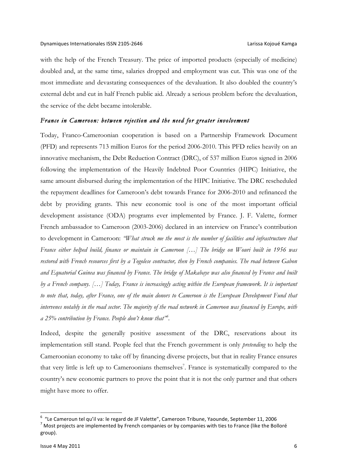with the help of the French Treasury. The price of imported products (especially of medicine) doubled and, at the same time, salaries dropped and employment was cut. This was one of the most immediate and devastating consequences of the devaluation. It also doubled the country's external debt and cut in half French public aid. Already a serious problem before the devaluation, the service of the debt became intolerable.

### *France in Cameroon: between rejection and the need for greater involvement*

Today, Franco-Cameroonian cooperation is based on a Partnership Framework Document (PFD) and represents 713 million Euros for the period 2006-2010. This PFD relies heavily on an innovative mechanism, the Debt Reduction Contract (DRC), of 537 million Euros signed in 2006 following the implementation of the Heavily Indebted Poor Countries (HIPC) Initiative, the same amount disbursed during the implementation of the HIPC Initiative. The DRC rescheduled the repayment deadlines for Cameroon's debt towards France for 2006-2010 and refinanced the debt by providing grants. This new economic tool is one of the most important official development assistance (ODA) programs ever implemented by France. J. F. Valette, former French ambassador to Cameroon (2003-2006) declared in an interview on France's contribution to development in Cameroon: *"What struck me the most is the number of facilities and infrastructure that France either helped build, finance or maintain in Cameroon […] The bridge on Wouri built in 1956 was restored with French resources first by a Togolese contractor, then by French companies. The road between Gabon and Equatorial Guinea was financed by France. The bridge of Makabaye was also financed by France and built by a French company. […] Today, France is increasingly acting within the European framework. It is important to note that, today, after France, one of the main donors to Cameroon is the European Development Fund that intervenes notably in the road sector. The majority of the road network in Cameroon was financed by Europe, with a 25% contribution by France. People don't know that"6 .*

Indeed, despite the generally positive assessment of the DRC, reservations about its implementation still stand. People feel that the French government is only *pretending* to help the Cameroonian economy to take off by financing diverse projects, but that in reality France ensures that very little is left up to Cameroonians themselves<sup>7</sup>. France is systematically compared to the country's new economic partners to prove the point that it is not the only partner and that others might have more to offer.

<sup>&</sup>lt;sup>6</sup> "Le Cameroun tel qu'il va: le regard de JF Valette", Cameroon Tribune, Yaounde, September 11, 2006<br><sup>7</sup> Most projects are implemented by French companies or by companies with ties to France (like the Bolloré group).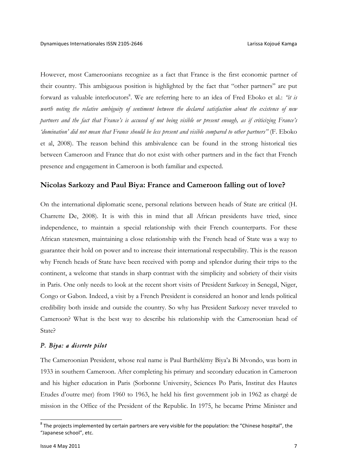However, most Cameroonians recognize as a fact that France is the first economic partner of their country. This ambiguous position is highlighted by the fact that "other partners" are put forward as valuable interlocutors<sup>8</sup>. We are referring here to an idea of Fred Eboko et al.: "it is *worth noting the relative ambiguity of sentiment between the declared satisfaction about the existence of new partners and the fact that France's is accused of not being visible or present enough, as if criticizing France's 'domination' did not mean that France should be less present and visible compared to other partners"* (F. Eboko et al, 2008). The reason behind this ambivalence can be found in the strong historical ties between Cameroon and France that do not exist with other partners and in the fact that French presence and engagement in Cameroon is both familiar and expected.

## **Nicolas Sarkozy and Paul Biya: France and Cameroon falling out of love?**

On the international diplomatic scene, personal relations between heads of State are critical (H. Charrette De, 2008). It is with this in mind that all African presidents have tried, since independence, to maintain a special relationship with their French counterparts. For these African statesmen, maintaining a close relationship with the French head of State was a way to guarantee their hold on power and to increase their international respectability. This is the reason why French heads of State have been received with pomp and splendor during their trips to the continent, a welcome that stands in sharp contrast with the simplicity and sobriety of their visits in Paris. One only needs to look at the recent short visits of President Sarkozy in Senegal, Niger, Congo or Gabon. Indeed, a visit by a French President is considered an honor and lends political credibility both inside and outside the country. So why has President Sarkozy never traveled to Cameroon? What is the best way to describe his relationship with the Cameroonian head of State?

### *P. Biya: a discrete pilot*

The Cameroonian President, whose real name is Paul Barthélémy Biya'a Bi Mvondo, was born in 1933 in southern Cameroon. After completing his primary and secondary education in Cameroon and his higher education in Paris (Sorbonne University, Sciences Po Paris, Institut des Hautes Etudes d'outre mer) from 1960 to 1963, he held his first government job in 1962 as chargé de mission in the Office of the President of the Republic. In 1975, he became Prime Minister and

 $8$  The projects implemented by certain partners are very visible for the population: the "Chinese hospital", the "Japanese school", etc.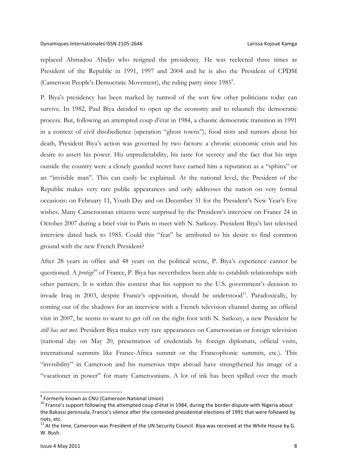replaced Ahmadou Ahidjo who resigned the presidency. He was reelected three times as President of the Republic in 1991, 1997 and 2004 and he is also the President of CPDM (Cameroon People's Democratic Movement), the ruling party since 1985<sup>9</sup>.

P. Biya's presidency has been marked by turmoil of the sort few other politicians today can survive. In 1982, Paul Biya decided to open up the economy and to relaunch the democratic process. But, following an attempted coup d'état in 1984, a chaotic democratic transition in 1991 in a context of civil disobedience (operation "ghost towns"), food riots and rumors about his death, President Biya's action was governed by two factors: a chronic economic crisis and his desire to assert his power. His unpredictability, his taste for secrecy and the fact that his trips outside the country were a closely guarded secret have earned him a reputation as a "sphinx" or an "invisible man". This can easily be explained. At the national level, the President of the Republic makes very rare public appearances and only addresses the nation on very formal occasions: on February 11, Youth Day and on December 31 for the President's New Year's Eve wishes. Many Cameroonian citizens were surprised by the President's interview on France 24 in October 2007 during a brief visit to Paris to meet with N. Sarkozy. President Biya's last televised interview dated back to 1985. Could this "feat" be attributed to his desire to find common ground with the new French President?

After 28 years in office and 48 years on the political scene, P. Biya's experience cannot be questioned. A *protégé<sup>10</sup>* of France, P. Biya has nevertheless been able to establish relationships with other partners. It is within this context that his support to the U.S. government's decision to invade Iraq in 2003, despite France's opposition, should be understood $^{11}$ . Paradoxically, by coming out of the shadows for an interview with a French television channel during an official visit in 2007, he seems to want to get off on the right foot with N. Sarkozy, a new President he *still has not met*. President Biya makes very rare appearances on Cameroonian or foreign television (national day on May 20, presentation of credentials by foreign diplomats, official visits, international summits like France-Africa summit or the Francophonie summits, etc.). This "invisibility" in Cameroon and his numerous trips abroad have strengthened his image of a "vacationer in power" for many Cameroonians. A lot of ink has been spilled over the much

 $9$  Formerly known as CNU (Cameroon National Union)

<sup>&</sup>lt;sup>10</sup> France's support following the attempted coup d'état in 1984, during the border dispute with Nigeria about the Bakassi peninsula, France's silence after the contested presidential elections of 1991 that were followed by riots, etc.

 $11$  At the time, Cameroon was President of the UN Security Council. Biya was received at the White House by G. W. Bush.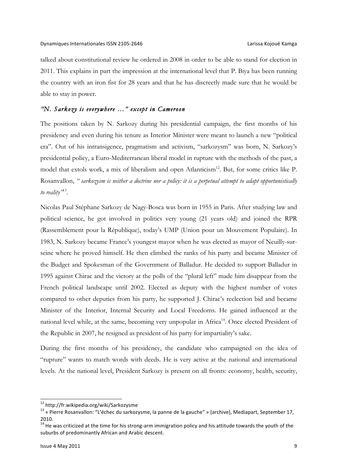talked about constitutional review he ordered in 2008 in order to be able to stand for election in 2011. This explains in part the impression at the international level that P. Biya has been running the country with an iron fist for 28 years and that he has discreetly made sure that he would be able to stay in power.

## *"N. Sarkozy is everywhere …" except in Cameroon*

The positions taken by N. Sarkozy during his presidential campaign, the first months of his presidency and even during his tenure as Interior Minister were meant to launch a new "political era". Out of his intransigence, pragmatism and activism, "sarkozysm" was born, N. Sarkozy's presidential policy, a Euro-Mediterranean liberal model in rupture with the methods of the past, a model that extols work, a mix of liberalism and open Atlanticism<sup>12</sup>. But, for some critics like P. Rosanvallon, *" sarkozysm is neither a doctrine nor a policy: it is a perpetual attempt to adapt opportunistically to reality"*13.

Nicolas Paul Stéphane Sarkozy de Nagy-Bosca was born in 1955 in Paris. After studying law and political science, he got involved in politics very young (21 years old) and joined the RPR (Rassemblement pour la République), today's UMP (Union pour un Mouvement Populaire). In 1983, N. Sarkozy became France's youngest mayor when he was elected as mayor of Neuilly-surseine where he proved himself. He then climbed the ranks of his party and became Minister of the Budget and Spokesman of the Government of Balladur. He decided to support Balladur in 1995 against Chirac and the victory at the polls of the "plural left" made him disappear from the French political landscape until 2002. Elected as deputy with the highest number of votes compared to other deputies from his party, he supported J. Chirac's reelection bid and became Minister of the Interior, Internal Security and Local Freedoms. He gained influenced at the national level while, at the same, becoming very unpopular in Africa<sup>14</sup>. Once elected President of the Republic in 2007, he resigned as president of his party for impartiality's sake.

During the first months of his presidency, the candidate who campaigned on the idea of "rupture" wants to match words with deeds. He is very active at the national and international levels. At the national level, President Sarkozy is present on all fronts: economy, health, security,

<sup>&</sup>lt;sup>12</sup> http://fr.wikipedia.org/wiki/Sarkozysme<br><sup>13</sup> « Pierre Rosanvallon: "L'échec du sarkozysme, la panne de la gauche" » [archive], Mediapart, September 17, 2010.

 $14$  He was criticized at the time for his strong-arm immigration policy and his attitude towards the youth of the suburbs of predominantly African and Arabic descent.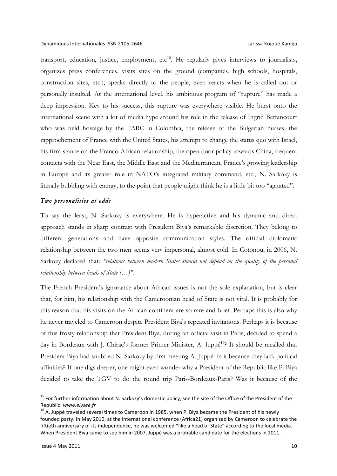transport, education, justice, employment,  $etc^{15}$ . He regularly gives interviews to journalists, organizes press conferences, visits sites on the ground (companies, high schools, hospitals, construction sites, etc.), speaks directly to the people, even reacts when he is called out or personally insulted. At the international level, his ambitious program of "rupture" has made a deep impression. Key to his success, this rupture was everywhere visible. He burst onto the international scene with a lot of media hype around his role in the release of Ingrid Bettancourt who was held hostage by the FARC in Colombia, the release of the Bulgarian nurses, the rapprochement of France with the United States, his attempt to change the status quo with Israel, his firm stance on the Franco-African relationship, the open door policy towards China, frequent contacts with the Near East, the Middle East and the Mediterranean, France's growing leadership in Europe and its greater role in NATO's integrated military command, etc., N. Sarkozy is literally bubbling with energy, to the point that people might think he is a little bit too "agitated".

## *Two personalities at odds*

To say the least, N. Sarkozy is everywhere. He is hyperactive and his dynamic and direct approach stands in sharp contrast with President Biya's remarkable discretion. They belong to different generations and have opposite communication styles. The official diplomatic relationship between the two men seems very impersonal, almost cold. In Cotonou, in 2006, N. Sarkozy declared that: *"relations between modern States should not depend on the quality of the personal relationship between heads of State (…)".*

The French President's ignorance about African issues is not the sole explanation, but is clear that, for him, his relationship with the Cameroonian head of State is not vital. It is probably for this reason that his visits on the African continent are so rare and brief. Perhaps this is also why he never traveled to Cameroon despite President Biya's repeated invitations. Perhaps it is because of this frosty relationship that President Biya, during an official visit in Paris, decided to spend a day in Bordeaux with J. Chirac's former Primer Minister, A. Juppé<sup>16</sup>? It should be recalled that President Biya had snubbed N. Sarkozy by first meeting A. Juppé. Is it because they lack political affinities? If one digs deeper, one might even wonder why a President of the Republic like P. Biya decided to take the TGV to do the round trip Paris-Bordeaux-Paris? Was it because of the

<sup>&</sup>lt;sup>15</sup> For further information about N. Sarkozy's domestic policy, see the site of the Office of the President of the Republic: *www.elysee.fr*<br><sup>16</sup> A. Juppé traveled several times to Cameroon in 1985, when P. Biya became the President of his newly

founded party. In May 2010, at the international conference (Africa21) organized by Cameroon to celebrate the fiftieth anniversary of its independence, he was welcomed "like a head of State" according to the local media. When President Biya came to see him in 2007, Juppé was a probable candidate for the elections in 2011.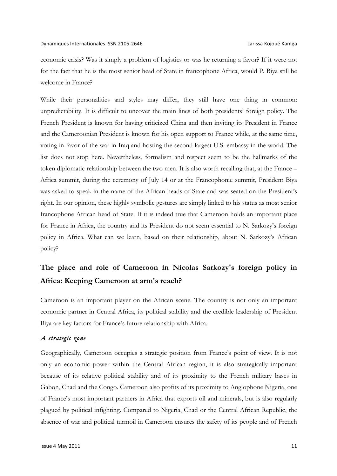economic crisis? Was it simply a problem of logistics or was he returning a favor? If it were not for the fact that he is the most senior head of State in francophone Africa, would P. Biya still be welcome in France?

While their personalities and styles may differ, they still have one thing in common: unpredictability. It is difficult to uncover the main lines of both presidents' foreign policy. The French President is known for having criticized China and then inviting its President in France and the Cameroonian President is known for his open support to France while, at the same time, voting in favor of the war in Iraq and hosting the second largest U.S. embassy in the world. The list does not stop here. Nevertheless, formalism and respect seem to be the hallmarks of the token diplomatic relationship between the two men. It is also worth recalling that, at the France – Africa summit, during the ceremony of July 14 or at the Francophonie summit, President Biya was asked to speak in the name of the African heads of State and was seated on the President's right. In our opinion, these highly symbolic gestures are simply linked to his status as most senior francophone African head of State. If it is indeed true that Cameroon holds an important place for France in Africa, the country and its President do not seem essential to N. Sarkozy's foreign policy in Africa. What can we learn, based on their relationship, about N. Sarkozy's African policy?

# **The place and role of Cameroon in Nicolas Sarkozy's foreign policy in Africa: Keeping Cameroon at arm's reach?**

Cameroon is an important player on the African scene. The country is not only an important economic partner in Central Africa, its political stability and the credible leadership of President Biya are key factors for France's future relationship with Africa.

## *A strategic zone*

Geographically, Cameroon occupies a strategic position from France's point of view. It is not only an economic power within the Central African region, it is also strategically important because of its relative political stability and of its proximity to the French military bases in Gabon, Chad and the Congo. Cameroon also profits of its proximity to Anglophone Nigeria, one of France's most important partners in Africa that exports oil and minerals, but is also regularly plagued by political infighting. Compared to Nigeria, Chad or the Central African Republic, the absence of war and political turmoil in Cameroon ensures the safety of its people and of French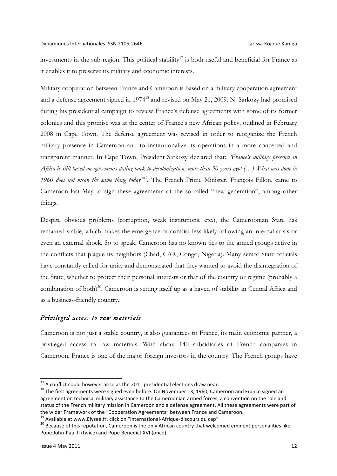investments in the sub-region. This political stability<sup>17</sup> is both useful and beneficial for France as it enables it to preserve its military and economic interests.

Military cooperation between France and Cameroon is based on a military cooperation agreement and a defense agreement signed in 1974<sup>18</sup> and revised on May 21, 2009. N. Sarkozy had promised during his presidential campaign to review France's defense agreements with some of its former colonies and this promise was at the center of France's new African policy, outlined in February 2008 in Cape Town. The defense agreement was revised in order to reorganize the French military presence in Cameroon and to institutionalize its operations in a more concerted and transparent manner. In Cape Town, President Sarkozy declared that: *"France's military presence in Africa is still based on agreements dating back to decolonization, more than 50 years ago! (…) What was done in 1960 does not mean the same thing today"19.* The French Prime Minister, François Fillon, came to Cameroon last May to sign these agreements of the so-called "new generation", among other things.

Despite obvious problems (corruption, weak institutions, etc.), the Cameroonian State has remained stable, which makes the emergence of conflict less likely following an internal crisis or even an external shock. So to speak, Cameroon has no known ties to the armed groups active in the conflicts that plague its neighbors (Chad, CAR, Congo, Nigeria). Many senior State officials have constantly called for unity and demonstrated that they wanted to avoid the disintegration of the State, whether to protect their personal interests or that of the country or regime (probably a combination of both)<sup>20</sup>. Cameroon is setting itself up as a haven of stability in Central Africa and as a business-friendly country.

# *Privileged access to raw materials*

Cameroon is not just a stable country, it also guarantees to France, its main economic partner, a privileged access to raw materials. With about 140 subsidiaries of French companies in Cameroon, France is one of the major foreign investors in the country. The French groups have

<sup>&</sup>lt;sup>17</sup> A conflict could however arise as the 2011 presidential elections draw near.<br><sup>18</sup> The first agreements were signed even before. On November 13, 1960, Cameroon and France signed an agreement on technical military assistance to the Cameroonian armed forces, a convention on the role and status of the French military mission in Cameroon and a defense agreement. All these agreements were part of the wider Framework of the "Cooperation Agreements" between France and Cameroon.<br><sup>19</sup> Available at www.Elysee.fr, click on "international-Afrique-discours du cap"

 $^{20}$  Because of this reputation, Cameroon is the only African country that welcomed eminent personalities like Pope John-Paul II (twice) and Pope Benedict XVI (once).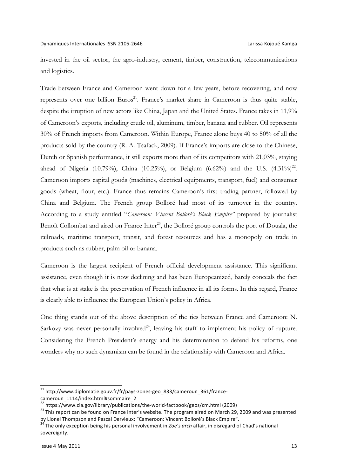invested in the oil sector, the agro-industry, cement, timber, construction, telecommunications and logistics.

Trade between France and Cameroon went down for a few years, before recovering, and now represents over one billion Euros<sup>21</sup>. France's market share in Cameroon is thus quite stable, despite the irruption of new actors like China, Japan and the United States. France takes in 11,9% of Cameroon's exports, including crude oil, aluminum, timber, banana and rubber. Oil represents 30% of French imports from Cameroon. Within Europe, France alone buys 40 to 50% of all the products sold by the country (R. A. Tsafack, 2009). If France's imports are close to the Chinese, Dutch or Spanish performance, it still exports more than of its competitors with 21,03%, staying ahead of Nigeria (10.79%), China (10.25%), or Belgium (6.62%) and the U.S.  $(4.31\%)^{22}$ . Cameroon imports capital goods (machines, electrical equipments, transport, fuel) and consumer goods (wheat, flour, etc.). France thus remains Cameroon's first trading partner, followed by China and Belgium. The French group Bolloré had most of its turnover in the country. According to a study entitled "*Cameroon: Vincent Bolloré's Black Empire"* prepared by journalist Benoît Collombat and aired on France Inter<sup>23</sup>, the Bolloré group controls the port of Douala, the railroads, maritime transport, transit, and forest resources and has a monopoly on trade in products such as rubber, palm oil or banana.

Cameroon is the largest recipient of French official development assistance. This significant assistance, even though it is now declining and has been Europeanized, barely conceals the fact that what is at stake is the preservation of French influence in all its forms. In this regard, France is clearly able to influence the European Union's policy in Africa.

One thing stands out of the above description of the ties between France and Cameroon: N. Sarkozy was never personally involved<sup>24</sup>, leaving his staff to implement his policy of rupture. Considering the French President's energy and his determination to defend his reforms, one wonders why no such dynamism can be found in the relationship with Cameroon and Africa.

 $^{21}$  http://www.diplomatie.gouv.fr/fr/pays-zones-geo\_833/cameroun\_361/france-

cameroun\_1114/index.html#sommaire\_2<br>
<sup>22</sup> https://www.cia.gov/library/publications/the-world-factbook/geos/cm.html (2009)

 $^{23}$  This report can be found on France Inter's website. The program aired on March 29, 2009 and was presented by Lionel Thompson and Pascal Dervieux: "Cameroon: Vincent Bolloré's Black Empire".

<sup>&</sup>lt;sup>24</sup> The only exception being his personal involvement in *Zoe's arch* affair, in disregard of Chad's national sovereignty.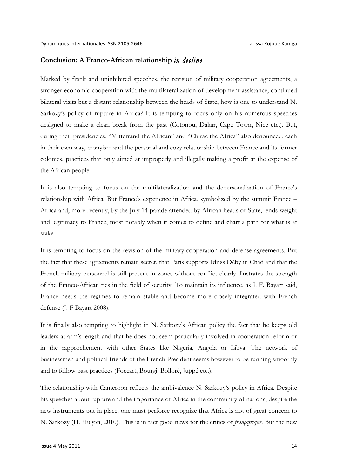### **Conclusion: A Franco-African relationship** *in decline*

Marked by frank and uninhibited speeches, the revision of military cooperation agreements, a stronger economic cooperation with the multilateralization of development assistance, continued bilateral visits but a distant relationship between the heads of State, how is one to understand N. Sarkozy's policy of rupture in Africa? It is tempting to focus only on his numerous speeches designed to make a clean break from the past (Cotonou, Dakar, Cape Town, Nice etc.). But, during their presidencies, "Mitterrand the African" and "Chirac the Africa" also denounced, each in their own way, cronyism and the personal and cozy relationship between France and its former colonies, practices that only aimed at improperly and illegally making a profit at the expense of the African people.

It is also tempting to focus on the multilateralization and the depersonalization of France's relationship with Africa. But France's experience in Africa, symbolized by the summit France – Africa and, more recently, by the July 14 parade attended by African heads of State, lends weight and legitimacy to France, most notably when it comes to define and chart a path for what is at stake.

It is tempting to focus on the revision of the military cooperation and defense agreements. But the fact that these agreements remain secret, that Paris supports Idriss Déby in Chad and that the French military personnel is still present in zones without conflict clearly illustrates the strength of the Franco-African ties in the field of security. To maintain its influence, as J. F. Bayart said, France needs the regimes to remain stable and become more closely integrated with French defense (J. F Bayart 2008).

It is finally also tempting to highlight in N. Sarkozy's African policy the fact that he keeps old leaders at arm's length and that he does not seem particularly involved in cooperation reform or in the rapprochement with other States like Nigeria, Angola or Libya. The network of businessmen and political friends of the French President seems however to be running smoothly and to follow past practices (Foccart, Bourgi, Bolloré, Juppé etc.).

The relationship with Cameroon reflects the ambivalence N. Sarkozy's policy in Africa. Despite his speeches about rupture and the importance of Africa in the community of nations, despite the new instruments put in place, one must perforce recognize that Africa is not of great concern to N. Sarkozy (H. Hugon, 2010). This is in fact good news for the critics of *françafrique*. But the new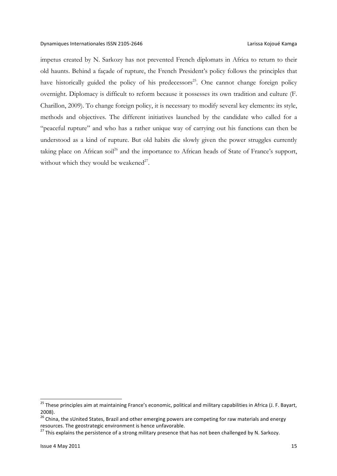impetus created by N. Sarkozy has not prevented French diplomats in Africa to return to their old haunts. Behind a façade of rupture, the French President's policy follows the principles that have historically guided the policy of his predecessors<sup>25</sup>. One cannot change foreign policy overnight. Diplomacy is difficult to reform because it possesses its own tradition and culture (F. Charillon, 2009). To change foreign policy, it is necessary to modify several key elements: its style, methods and objectives. The different initiatives launched by the candidate who called for a "peaceful rupture" and who has a rather unique way of carrying out his functions can then be understood as a kind of rupture. But old habits die slowly given the power struggles currently taking place on African soil<sup>26</sup> and the importance to African heads of State of France's support, without which they would be weakened<sup>27</sup>.

<sup>&</sup>lt;sup>25</sup> These principles aim at maintaining France's economic, political and military capabilities in Africa (J. F. Bayart, 2008).

 $26$  China, the sUnited States, Brazil and other emerging powers are competing for raw materials and energy resources. The geostrategic environment is hence unfavorable.

<sup>&</sup>lt;sup>27</sup> This explains the persistence of a strong military presence that has not been challenged by N. Sarkozy.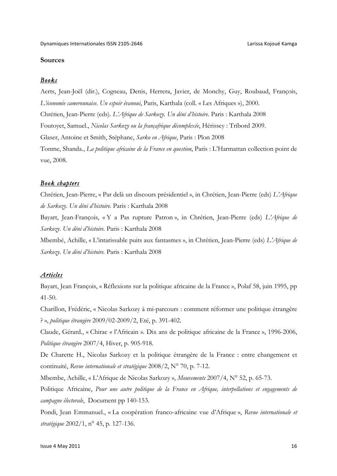# **Sources**

### *Books*

Aerts, Jean-Joël (dir.), Cogneau, Denis, Herrera, Javier, de Monchy, Guy, Roubaud, François, *L'économie camerounaise. Un espoir évanoui*, Paris, Karthala (coll. « Les Afriques »), 2000. Chrétien, Jean-Pierre (eds). *L'Afrique de Sarkozy. Un déni d'histoire.* Paris : Karthala 2008 Foutoyet, Samuel., *Nicolas Sarkozy ou la françafrique décomplexée*, Hérissey : Tribord 2009. Glaser, Antoine et Smith, Stéphane, *Sarko en Afrique*, Paris : Plon 2008 Tonme, Shanda., *La politique africaine de la France en question*, Paris : L'Harmattan collection point de vue, 2008.

### *Book chapters*

Chrétien, Jean-Pierre, « Par delà un discours présidentiel », in Chrétien, Jean-Pierre (eds) *L'Afrique de Sarkozy. Un déni d'histoire.* Paris : Karthala 2008

Bayart, Jean-François, « Y a Pas rupture Patron », in Chrétien, Jean-Pierre (eds) *L'Afrique de Sarkozy. Un déni d'histoire.* Paris : Karthala 2008

Mbembé, Achille, « L'intarissable puits aux fantasmes », in Chrétien, Jean-Pierre (eds) *L'Afrique de Sarkozy. Un déni d'histoire.* Paris : Karthala 2008

# *Articles*

Bayart, Jean François, « Réflexions sur la politique africaine de la France », Polaf 58, juin 1995, pp 41-50.

Charillon, Frédéric, « Nicolas Sarkozy à mi-parcours : comment réformer une politique étrangère ? », *politique étrangère* 2009/02-2009/2, Eté, p. 391-402.

Claude, Gérard., « Chirac « l'Africain ». Dix ans de politique africaine de la France », 1996-2006, *Politique étrangère* 2007/4, Hiver, p. 905-918.

De Charette H., Nicolas Sarkozy et la politique étrangère de la France : entre changement et continuité, *Revue internationale et stratégique* 2008/2, N° 70, p. 7-12.

Mbembe, Achille, « L'Afrique de Nicolas Sarkozy », *Mouvements* 2007/4, N° 52, p. 65-73.

Politique Africaine, *Pour une autre politique de la France en Afrique, interpellations et engagements de campagne électorale*, Document pp 140-153.

Pondi, Jean Emmanuel., « La coopération franco-africaine vue d'Afrique », *Revue internationale et stratégique* 2002/1, n° 45, p. 127-136.